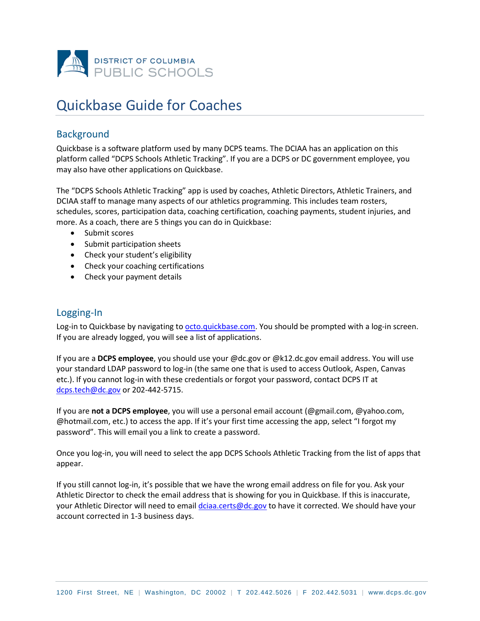

# Quickbase Guide for Coaches

# **Background**

Quickbase is a software platform used by many DCPS teams. The DCIAA has an application on this platform called "DCPS Schools Athletic Tracking". If you are a DCPS or DC government employee, you may also have other applications on Quickbase.

The "DCPS Schools Athletic Tracking" app is used by coaches, Athletic Directors, Athletic Trainers, and DCIAA staff to manage many aspects of our athletics programming. This includes team rosters, schedules, scores, participation data, coaching certification, coaching payments, student injuries, and more. As a coach, there are 5 things you can do in Quickbase:

- Submit scores
- Submit participation sheets
- Check your student's eligibility
- Check your coaching certifications
- Check your payment details

## Logging-In

Log-in to Quickbase by navigating to [octo.quickbase.com.](https://octo.quickbase.com/) You should be prompted with a log-in screen. If you are already logged, you will see a list of applications.

If you are a **DCPS employee**, you should use your @dc.gov or @k12.dc.gov email address. You will use your standard LDAP password to log-in (the same one that is used to access Outlook, Aspen, Canvas etc.). If you cannot log-in with these credentials or forgot your password, contact DCPS IT at [dcps.tech@dc.gov](mailto:dcps.tech@dc.gov) or 202-442-5715.

If you are **not a DCPS employee**, you will use a personal email account (@gmail.com, @yahoo.com, @hotmail.com, etc.) to access the app. If it's your first time accessing the app, select "I forgot my password". This will email you a link to create a password.

Once you log-in, you will need to select the app DCPS Schools Athletic Tracking from the list of apps that appear.

If you still cannot log-in, it's possible that we have the wrong email address on file for you. Ask your Athletic Director to check the email address that is showing for you in Quickbase. If this is inaccurate, your Athletic Director will need to email [dciaa.certs@dc.gov](mailto:dciaa.certs@dc.gov) to have it corrected. We should have your account corrected in 1-3 business days.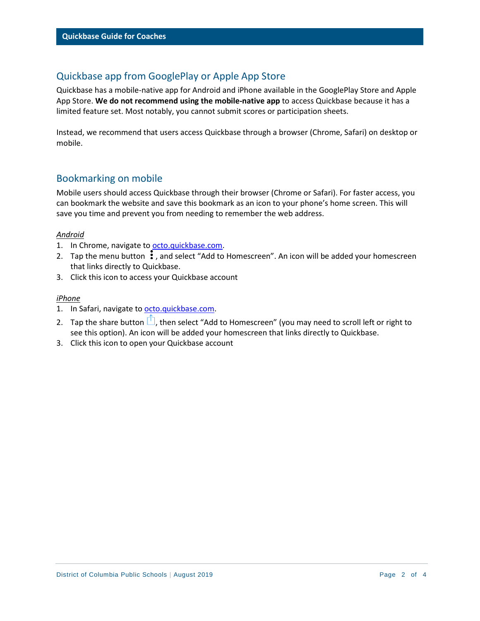# Quickbase app from GooglePlay or Apple App Store

Quickbase has a mobile-native app for Android and iPhone available in the GooglePlay Store and Apple App Store. **We do not recommend using the mobile-native app** to access Quickbase because it has a limited feature set. Most notably, you cannot submit scores or participation sheets.

Instead, we recommend that users access Quickbase through a browser (Chrome, Safari) on desktop or mobile.

## Bookmarking on mobile

Mobile users should access Quickbase through their browser (Chrome or Safari). For faster access, you can bookmark the website and save this bookmark as an icon to your phone's home screen. This will save you time and prevent you from needing to remember the web address.

## *Android*

- 1. In Chrome, navigate to [octo.quickbase.com.](https://octo.quickbase.com/)
- 2. Tap the menu button:  $\ddot{i}$ , and select "Add to Homescreen". An icon will be added your homescreen that links directly to Quickbase.
- 3. Click this icon to access your Quickbase account

## *iPhone*

- 1. In Safari, navigate to [octo.quickbase.com.](https://octo.quickbase.com/)
- 2. Tap the share button  $\Box$ , then select "Add to Homescreen" (you may need to scroll left or right to see this option). An icon will be added your homescreen that links directly to Quickbase.
- 3. Click this icon to open your Quickbase account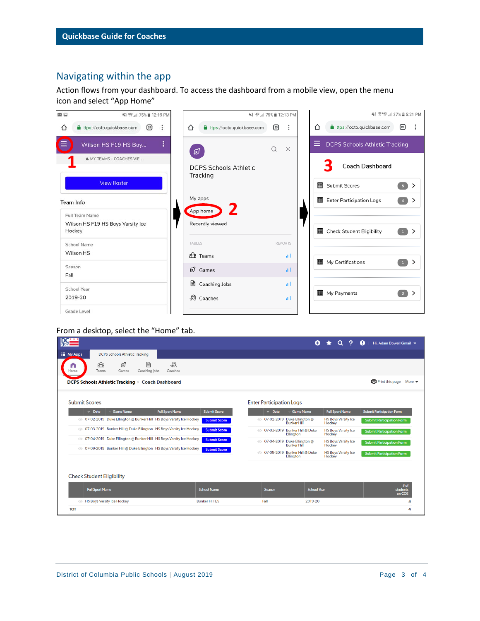# Navigating within the app

Action flows from your dashboard. To access the dashboard from a mobile view, open the menu icon and select "App Home"



## From a desktop, select the "Home" tab.

| .govi                                                                                         |                       |                                 | Θ                  | Ο                                    | Q<br>Hi. Adam Dowell Gmail v             |
|-----------------------------------------------------------------------------------------------|-----------------------|---------------------------------|--------------------|--------------------------------------|------------------------------------------|
| <b>III</b> My Apps<br><b>DCPS Schools Athletic Tracking</b>                                   |                       |                                 |                    |                                      |                                          |
| 目<br>$\mathcal{D}$<br>$6P_B$<br>ග්<br>n<br>Coaching Jobs<br>Coaches<br>Teams<br>Games<br>Home |                       |                                 |                    |                                      |                                          |
| <b>DCPS Schools Athletic Tracking &gt; Coach Dashboard</b>                                    |                       |                                 |                    |                                      | $\bigoplus$ Print this page More $\star$ |
| <b>Submit Scores</b>                                                                          |                       | <b>Enter Participation Logs</b> |                    |                                      |                                          |
| $\sim$ Date<br><b>Game Name</b><br><b>Full Sport Name</b>                                     | <b>Submit Score</b>   | $\mathbf{v}$ Date               | <b>Game Name</b>   | <b>Full Sport Name</b>               | <b>Submit Participation Form</b>         |
| © 07-02-2019 Duke Ellington @ Bunker Hill HS Boys Varsity Ice Hockey                          | <b>Submit Score</b>   | © 07-02-2019 Duke Ellington @   | <b>Bunker Hill</b> | <b>HS Boys Varsity Ice</b><br>Hockey | <b>Submit Participation Form</b>         |
| © 07-03-2019 Bunker Hill @ Duke Ellington HS Boys Varsity Ice Hockey                          | <b>Submit Score</b>   | © 07-03-2019 Bunker Hill @ Duke | <b>Ellinaton</b>   | <b>HS Boys Varsity Ice</b><br>Hockey | <b>Submit Participation Form</b>         |
| © 07-04-2019 Duke Ellington @ Bunker Hill HS Boys Varsity Ice Hockey                          | <b>Submit Score</b>   | © 07-04-2019 Duke Ellington @   | <b>Bunker Hill</b> | <b>HS Boys Varsity Ice</b><br>Hockey | <b>Submit Participation Form</b>         |
| @ 07-09-2019 Bunker Hill @ Duke Ellington HS Boys Varsity Ice Hockey                          | <b>Submit Score</b>   | @ 07-09-2019 Bunker Hill @ Duke | Ellington          | <b>HS Boys Varsity Ice</b><br>Hockey | <b>Submit Participation Form</b>         |
|                                                                                               |                       |                                 |                    |                                      |                                          |
| <b>Check Student Eligibility</b>                                                              |                       |                                 |                    |                                      |                                          |
| <b>Full Sport Name</b>                                                                        | <b>School Name</b>    | Season                          | <b>School Year</b> |                                      | # of<br>students<br>on COE               |
| <b>EXECUTE:</b> HS Boys Varsity Ice Hockey                                                    | <b>Bunker Hill ES</b> | Fall                            | 2019-20            |                                      |                                          |
| <b>TOT</b>                                                                                    |                       |                                 |                    |                                      | Δ                                        |